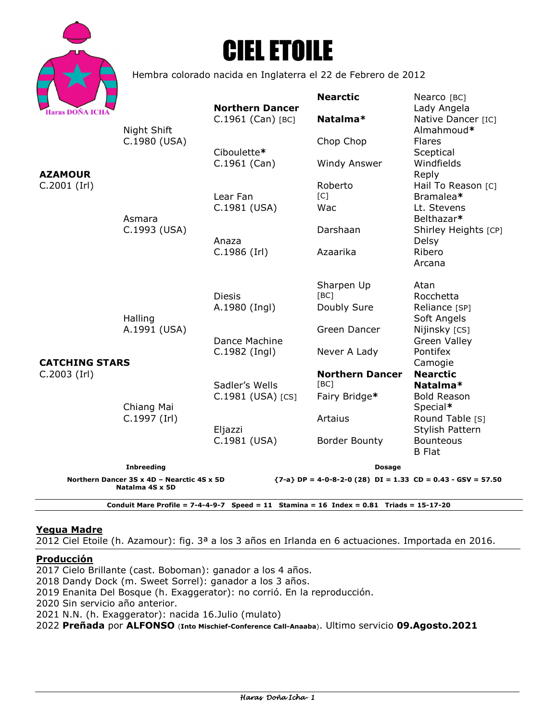

# CIEL ETOILE

Hembra colorado nacida en Inglaterra el 22 de Febrero de 2012

|                                                                                                                                |                                                       | <b>Northern Dancer</b> | <b>Nearctic</b>        | Nearco [BC]<br>Lady Angela           |
|--------------------------------------------------------------------------------------------------------------------------------|-------------------------------------------------------|------------------------|------------------------|--------------------------------------|
| <b>Haras DOÑA ICHA</b><br><b>AZAMOUR</b><br>$C.2001$ (Irl)                                                                     | Night Shift<br>C.1980 (USA)<br>Asmara<br>C.1993 (USA) | $C.1961$ (Can) [BC]    | Natalma*               | Native Dancer [IC]<br>Almahmoud*     |
|                                                                                                                                |                                                       | Ciboulette*            | Chop Chop              | <b>Flares</b><br>Sceptical           |
|                                                                                                                                |                                                       | $C.1961$ (Can)         | Windy Answer           | Windfields<br>Reply                  |
|                                                                                                                                |                                                       |                        | Roberto                | Hail To Reason [C]                   |
|                                                                                                                                |                                                       | Lear Fan               | [C]                    | Bramalea*                            |
|                                                                                                                                |                                                       | C.1981 (USA)           | Wac                    | Lt. Stevens<br>Belthazar*            |
|                                                                                                                                |                                                       | Anaza                  | Darshaan               | Shirley Heights [CP]<br>Delsy        |
|                                                                                                                                |                                                       | $C.1986$ (Irl)         | Azaarika               | Ribero<br>Arcana                     |
|                                                                                                                                | Halling<br>A.1991 (USA)<br>Chiang Mai<br>C.1997 (Irl) |                        |                        |                                      |
|                                                                                                                                |                                                       | <b>Diesis</b>          | Sharpen Up<br>[BC]     | Atan<br>Rocchetta                    |
|                                                                                                                                |                                                       | A.1980 (Ingl)          | Doubly Sure            | Reliance [SP]<br>Soft Angels         |
|                                                                                                                                |                                                       | Dance Machine          | Green Dancer           | Nijinsky [CS]<br><b>Green Valley</b> |
|                                                                                                                                |                                                       | C.1982 (Ingl)          | Never A Lady           | Pontifex                             |
| <b>CATCHING STARS</b>                                                                                                          |                                                       |                        |                        | Camogie                              |
| $C.2003$ (Irl)                                                                                                                 |                                                       |                        | <b>Northern Dancer</b> | <b>Nearctic</b>                      |
|                                                                                                                                |                                                       | Sadler's Wells         | [BC]                   | Natalma*                             |
|                                                                                                                                |                                                       | C.1981 (USA) [CS]      | Fairy Bridge*          | <b>Bold Reason</b><br>Special*       |
|                                                                                                                                |                                                       | Eljazzi                | Artaius                | Round Table [S]<br>Stylish Pattern   |
|                                                                                                                                |                                                       | C.1981 (USA)           | <b>Border Bounty</b>   | <b>Bounteous</b><br><b>B</b> Flat    |
| <b>Inbreeding</b>                                                                                                              |                                                       |                        | <b>Dosage</b>          |                                      |
| Northern Dancer 3S x 4D - Nearctic 4S x 5D<br>${7-a}$ DP = 4-0-8-2-0 (28) DI = 1.33 CD = 0.43 - GSV = 57.50<br>Natalma 4S x 5D |                                                       |                        |                        |                                      |
| Conduit Mare Profile = $7-4-4-9-7$ Speed = 11 Stamina = 16 Index = 0.81 Triads = 15-17-20                                      |                                                       |                        |                        |                                      |

#### **Yegua Madre**

2012 Ciel Etoile (h. Azamour): fig. 3ª a los 3 años en Irlanda en 6 actuaciones. Importada en 2016.

#### **Producción**

2017 Cielo Brillante (cast. Boboman): ganador a los 4 años. 2018 Dandy Dock (m. Sweet Sorrel): ganador a los 3 años. 2019 Enanita Del Bosque (h. Exaggerator): no corrió. En la reproducción. 2020 Sin servicio año anterior. 2021 N.N. (h. Exaggerator): nacida 16.Julio (mulato) 2022 **Preñada** por **ALFONSO** (**Into Mischief-Conference Call-Anaaba**). Ultimo servicio **09.Agosto.2021**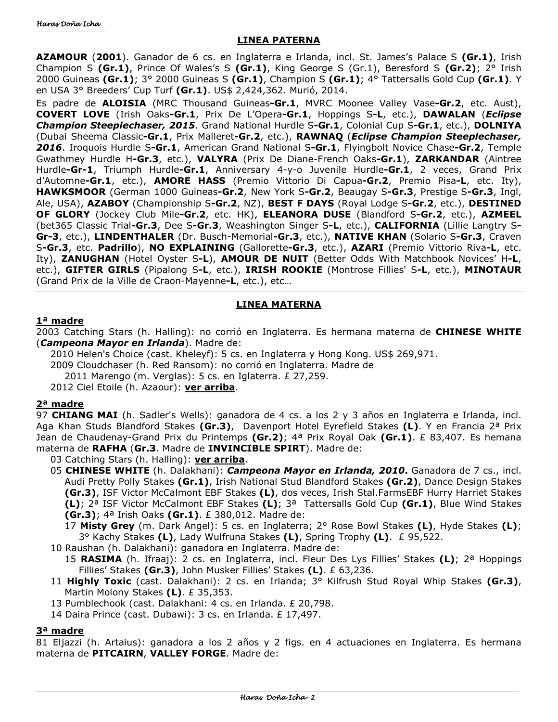### **LINEA PATERNA**

**AZAMOUR** (**2001**). Ganador de 6 cs. en Inglaterra e Irlanda, incl. St. James's Palace S **(Gr.1)**, Irish Champion S **(Gr.1)**, Prince Of Wales's S **(Gr.1)**, King George S (Gr.1), Beresford S **(Gr.2)**; 2° Irish 2000 Guineas **(Gr.1)**; 3° 2000 Guineas S **(Gr.1)**, Champion S **(Gr.1)**; 4° Tattersalls Gold Cup **(Gr.1)**. Y en USA 3° Breeders' Cup Turf **(Gr.1)**. US\$ 2,424,362. Murió, 2014.

Es padre de **ALOISIA** (MRC Thousand Guineas**-Gr.1**, MVRC Moonee Valley Vase**-Gr.2**, etc. Aust), **COVERT LOVE** (Irish Oaks**-Gr.1**, Prix De L'Opera**-Gr.1**, Hoppings S**-L**, etc.), **DAWALAN** (*Eclipse Champion Steeplechaser, 2015*. Grand National Hurdle S**-Gr.1**, Colonial Cup S**-Gr.1**, etc.), **DOLNIYA** (Dubai Sheema Classic**-Gr.1**, Prix Malleret**-Gr.2**, etc.), **RAWNAQ** (*Eclipse Champion Steeplechaser, 2016*. Iroquois Hurdle S**-Gr.1**, American Grand National S**-Gr.1**, Flyingbolt Novice Chase**-Gr.2**, Temple Gwathmey Hurdle H**-Gr.3**, etc.), **VALYRA** (Prix De Diane-French Oaks**-Gr.1**), **ZARKANDAR** (Aintree Hurdle**-Gr-1**, Triumph Hurdle**-Gr.1**, Anniversary 4-y-o Juvenile Hurdle**-Gr.1**, 2 veces, Grand Prix d'Automne**-Gr.1**, etc.), **AMORE HASS** (Premio Vittorio Di Capua**-Gr.2**, Premio Pisa**-L**, etc. Ity), **HAWKSMOOR** (German 1000 Guineas**-Gr.2**, New York S**-Gr.2**, Beaugay S**-Gr.3**, Prestige S**-Gr.3**, Ingl, Ale, USA), **AZABOY** (Championship S**-Gr.2**, NZ), **BEST F DAYS** (Royal Lodge S**-Gr.2**, etc.), **DESTINED OF GLORY** (Jockey Club Mile**-Gr.2**, etc. HK), **ELEANORA DUSE** (Blandford S**-Gr.2**, etc.), **AZMEEL** (bet365 Classic Trial**-Gr.3**, Dee S**-Gr.3**, Weashington Singer S**-L**, etc.), **CALIFORNIA** (Lillie Langtry S**-Gr-3**, etc.), **LINDENTHALER** (Dr. Busch-Memorial**-Gr.3**, etc.), **NATIVE KHAN** (Solario S**-Gr.3**, Craven S**-Gr.3**, etc. **Padrillo**), **NO EXPLAINING** (Gallorette**-Gr.3**, etc.), **AZARI** (Premio Vittorio Riva**-L**, etc. Ity), **ZANUGHAN** (Hotel Oyster S**-L**), **AMOUR DE NUIT** (Better Odds With Matchbook Novices' H**-L**, etc.), **GIFTER GIRLS** (Pipalong S**-L**, etc.), **IRISH ROOKIE** (Montrose Fillies' S**-L**, etc.), **MINOTAUR** (Grand Prix de la Ville de Craon-Mayenne**-L**, etc.), etc…

### **LINEA MATERNA**

### **1ª madre**

2003 Catching Stars (h. Halling): no corrió en Inglaterra. Es hermana materna de **CHINESE WHITE** (*Campeona Mayor en Irlanda*). Madre de:

2010 Helen's Choice (cast. Kheleyf): 5 cs. en Inglaterra y Hong Kong. US\$ 269,971. 2009 Cloudchaser (h. Red Ransom): no corrió en Inglaterra. Madre de 2011 Marengo (m. Verglas): 5 cs. en Iglaterra. £ 27,259.

2012 Ciel Etoile (h. Azaour): **ver arriba**.

## **2ª madre**

97 **CHIANG MAI** (h. Sadler's Wells): ganadora de 4 cs. a los 2 y 3 años en Inglaterra e Irlanda, incl. Aga Khan Studs Blandford Stakes **(Gr.3)**, Davenport Hotel Eyrefield Stakes **(L)**. Y en Francia 2ª Prix Jean de Chaudenay-Grand Prix du Printemps **(Gr.2)**; 4ª Prix Royal Oak **(Gr.1)**. £ 83,407. Es hemana materna de **RAFHA** (**Gr.3**. Madre de **INVINCIBLE SPIRT**). Madre de:

03 Catching Stars (h. Halling): **ver arriba**.

- 05 **CHINESE WHITE** (h. Dalakhani): *Campeona Mayor en Irlanda, 2010***.** Ganadora de 7 cs., incl. Audi Pretty Polly Stakes **(Gr.1)**, Irish National Stud Blandford Stakes **(Gr.2)**, Dance Design Stakes **(Gr.3)**, ISF Victor McCalmont EBF Stakes **(L)**, dos veces, Irish Stal.FarmsEBF Hurry Harriet Stakes **(L)**; 2ª ISF Victor McCalmont EBF Stakes **(L)**; 3ª Tattersalls Gold Cup **(Gr.1)**, Blue Wind Stakes **(Gr.3)**; 4ª Irish Oaks **(Gr.1)**. £ 380,012. Madre de:
	- 17 **Misty Grey** (m. Dark Angel): 5 cs. en Inglaterra; 2° Rose Bowl Stakes **(L)**, Hyde Stakes **(L)**; 3° Kachy Stakes **(L)**, Lady Wulfruna Stakes **(L)**, Spring Trophy **(L)**. £ 95,522.
- 10 Raushan (h. Dalakhani): ganadora en Inglaterra. Madre de:
	- 15 **RASIMA** (h. Ifraaj): 2 cs. en Inglaterra, incl. Fleur Des Lys Fillies' Stakes **(L)**; 2ª Hoppings Fillies' Stakes **(Gr.3)**, John Musker Fillies' Stakes **(L)**. £ 63,236.
- 11 **Highly Toxic** (cast. Dalakhani): 2 cs. en Irlanda; 3° Kilfrush Stud Royal Whip Stakes **(Gr.3)**, Martin Molony Stakes **(L)**. £ 35,353.
- 13 Pumblechook (cast. Dalakhani: 4 cs. en Irlanda. £ 20,798.
- 14 Daira Prince (cast. Dubawi): 3 cs. en Irlanda. £ 17,497.

#### **3ª madre**

81 Eljazzi (h. Artaius): ganadora a los 2 años y 2 figs. en 4 actuaciones en Inglaterra. Es hermana materna de **PITCAIRN**, **VALLEY FORGE**. Madre de: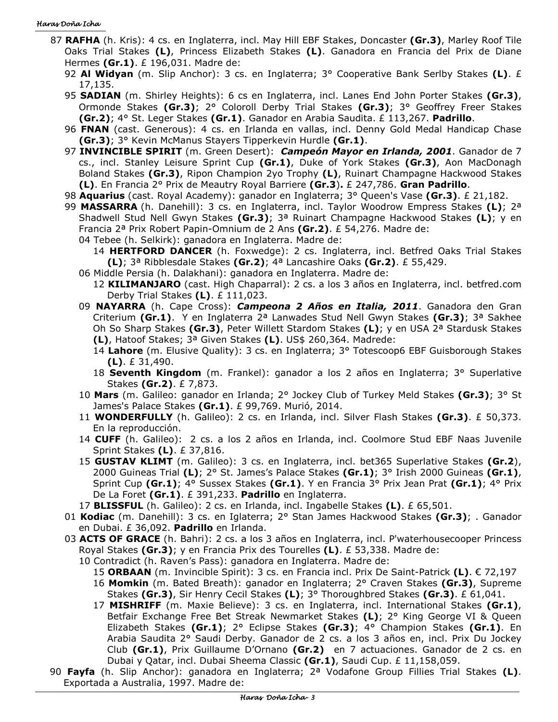#### Haras Doña Icha

- 87 **RAFHA** (h. Kris): 4 cs. en Inglaterra, incl. May Hill EBF Stakes, Doncaster **(Gr.3)**, Marley Roof Tile Oaks Trial Stakes **(L)**, Princess Elizabeth Stakes **(L)**. Ganadora en Francia del Prix de Diane Hermes **(Gr.1)**. £ 196,031. Madre de:
	- 92 **Al Widyan** (m. Slip Anchor): 3 cs. en Inglaterra; 3° Cooperative Bank Serlby Stakes **(L)**. £ 17,135.
	- 95 **SADIAN** (m. Shirley Heights): 6 cs en Inglaterra, incl. Lanes End John Porter Stakes **(Gr.3)**, Ormonde Stakes **(Gr.3)**; 2° Coloroll Derby Trial Stakes **(Gr.3)**; 3° Geoffrey Freer Stakes **(Gr.2)**; 4° St. Leger Stakes **(Gr.1)**. Ganador en Arabia Saudita. £ 113,267. **Padrillo**.
	- 96 **FNAN** (cast. Generous): 4 cs. en Irlanda en vallas, incl. Denny Gold Medal Handicap Chase **(Gr.3)**; 3° Kevin McManus Stayers Tipperkevin Hurdle **(Gr.1)**.
	- 97 **INVINCIBLE SPIRIT** (m. Green Desert): *Campeón Mayor en Irlanda, 2001*. Ganador de 7 cs., incl. Stanley Leisure Sprint Cup **(Gr.1)**, Duke of York Stakes **(Gr.3)**, Aon MacDonagh Boland Stakes **(Gr.3)**, Ripon Champion 2yo Trophy **(L)**, Ruinart Champagne Hackwood Stakes **(L)**. En Francia 2° Prix de Meautry Royal Barriere **(Gr.3**)**.** £ 247,786. **Gran Padrillo**.
	- 98 **Aquarius** (cast. Royal Academy): ganador en Inglaterra; 3° Queen's Vase **(Gr.3)**. £ 21,182.
	- 99 **MASSARRA** (h. Danehill): 3 cs. en Inglaterra, incl. Taylor Woodrow Empress Stakes **(L)**; 2ª Shadwell Stud Nell Gwyn Stakes **(Gr.3)**; 3ª Ruinart Champagne Hackwood Stakes **(L)**; y en Francia 2ª Prix Robert Papin-Omnium de 2 Ans **(Gr.2)**. £ 54,276. Madre de: 04 Tebee (h. Selkirk): ganadora en Inglaterra. Madre de:
		- 14 **HERTFORD DANCER** (h. Foxwedge): 2 cs. Inglaterra, incl. Betfred Oaks Trial Stakes **(L)**; 3ª Ribblesdale Stakes **(Gr.2)**; 4ª Lancashire Oaks **(Gr.2)**. £ 55,429.
		- 06 Middle Persia (h. Dalakhani): ganadora en Inglaterra. Madre de:
			- 12 **KILIMANJARO** (cast. High Chaparral): 2 cs. a los 3 años en Inglaterra, incl. betfred.com Derby Trial Stakes **(L)**. £ 111,023.
		- 09 **NAYARRA** (h. Cape Cross): *Campeona 2 Años en Italia, 2011*. Ganadora den Gran Criterium **(Gr.1)**. Y en Inglaterra 2ª Lanwades Stud Nell Gwyn Stakes **(Gr.3)**; 3ª Sakhee Oh So Sharp Stakes **(Gr.3)**, Peter Willett Stardom Stakes **(L)**; y en USA 2ª Stardusk Stakes **(L)**, Hatoof Stakes; 3ª Given Stakes **(L)**. US\$ 260,364. Madrede:
			- 14 **Lahore** (m. Elusive Quality): 3 cs. en Inglaterra; 3° Totescoop6 EBF Guisborough Stakes **(L)**. £ 31,490.
			- 18 **Seventh Kingdom** (m. Frankel): ganador a los 2 años en Inglaterra; 3° Superlative Stakes **(Gr.2)**. £ 7,873.
		- 10 **Mars** (m. Galileo: ganador en Irlanda; 2° Jockey Club of Turkey Meld Stakes **(Gr.3)**; 3° St James's Palace Stakes **(Gr.1)**. £ 99,769. Murió, 2014.
		- 11 **WONDERFULLY** (h. Galileo): 2 cs. en Irlanda, incl. Silver Flash Stakes **(Gr.3)**. £ 50,373. En la reproducción.
		- 14 **CUFF** (h. Galileo): 2 cs. a los 2 años en Irlanda, incl. Coolmore Stud EBF Naas Juvenile Sprint Stakes **(L)**. £ 37,816.
		- 15 **GUSTAV KLIMT** (m. Galileo): 3 cs. en Inglaterra, incl. bet365 Superlative Stakes **(Gr.2**), 2000 Guineas Trial **(L)**; 2° St. James's Palace Stakes **(Gr.1)**; 3° Irish 2000 Guineas **(Gr.1)**, Sprint Cup **(Gr.1)**; 4° Sussex Stakes **(Gr.1)**. Y en Francia 3° Prix Jean Prat **(Gr.1)**; 4° Prix De La Foret **(Gr.1)**. £ 391,233. **Padrillo** en Inglaterra.
		- 17 **BLISSFUL** (h. Galileo): 2 cs. en Irlanda, incl. Ingabelle Stakes **(L)**. £ 65,501.
	- 01 **Kodiac** (m. Danehill): 3 cs. en Iglaterra; 2° Stan James Hackwood Stakes **(Gr.3)**; . Ganador en Dubai. £ 36,092. **Padrillo** en Irlanda.
	- 03 **ACTS OF GRACE** (h. Bahri): 2 cs. a los 3 años en Inglaterra, incl. P'waterhousecooper Princess Royal Stakes **(Gr.3)**; y en Francia Prix des Tourelles **(L)**. £ 53,338. Madre de:
		- 10 Contradict (h. Raven's Pass): ganadora en Inglaterra. Madre de:
			- 15 **ORBAAN** (m. Invincible Spirit): 3 cs. en Francia incl. Prix De Saint-Patrick **(L)**. € 72,197
			- 16 **Momkin** (m. Bated Breath): ganador en Inglaterra; 2° Craven Stakes **(Gr.3)**, Supreme Stakes **(Gr.3)**, Sir Henry Cecil Stakes **(L)**; 3° Thoroughbred Stakes **(Gr.3)**. £ 61,041.
			- 17 **MISHRIFF** (m. Maxie Believe): 3 cs. en Inglaterra, incl. International Stakes **(Gr.1)**, Betfair Exchange Free Bet Streak Newmarket Stakes **(L)**; 2° King George VI & Queen Elizabeth Stakes **(Gr.1)**; 2° Eclipse Stakes **(Gr.3)**; 4° Champion Stakes **(Gr.1)**. En Arabia Saudita 2° Saudi Derby. Ganador de 2 cs. a los 3 años en, incl. Prix Du Jockey Club **(Gr.1)**, Prix Guillaume D'Ornano **(Gr.2)** en 7 actuaciones. Ganador de 2 cs. en Dubai y Qatar, incl. Dubai Sheema Classic **(Gr.1)**, Saudi Cup. £ 11,158,059.
- 90 **Fayfa** (h. Slip Anchor): ganadora en Inglaterra; 2ª Vodafone Group Fillies Trial Stakes **(L)**. Exportada a Australia, 1997. Madre de: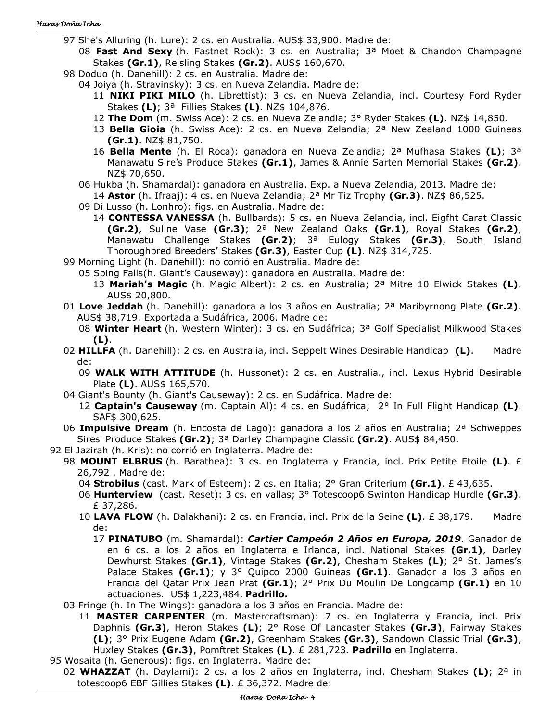- 97 She's Alluring (h. Lure): 2 cs. en Australia. AUS\$ 33,900. Madre de:
	- 08 **Fast And Sexy** (h. Fastnet Rock): 3 cs. en Australia; 3ª Moet & Chandon Champagne Stakes **(Gr.1)**, Reisling Stakes **(Gr.2)**. AUS\$ 160,670.
- 98 Doduo (h. Danehill): 2 cs. en Australia. Madre de:
	- 04 Joiya (h. Stravinsky): 3 cs. en Nueva Zelandia. Madre de:
		- 11 **NIKI PIKI MILO** (h. Librettist): 3 cs. en Nueva Zelandia, incl. Courtesy Ford Ryder Stakes **(L)**; 3ª Fillies Stakes **(L)**. NZ\$ 104,876.
		- 12 **The Dom** (m. Swiss Ace): 2 cs. en Nueva Zelandia; 3° Ryder Stakes **(L)**. NZ\$ 14,850.
		- 13 **Bella Gioia** (h. Swiss Ace): 2 cs. en Nueva Zelandia; 2ª New Zealand 1000 Guineas **(Gr.1)**. NZ\$ 81,750.
		- 16 **Bella Mente** (h. El Roca): ganadora en Nueva Zelandia; 2ª Mufhasa Stakes **(L)**; 3ª Manawatu Sire's Produce Stakes **(Gr.1)**, James & Annie Sarten Memorial Stakes **(Gr.2)**. NZ\$ 70,650.
	- 06 Hukba (h. Shamardal): ganadora en Australia. Exp. a Nueva Zelandia, 2013. Madre de:

14 **Astor** (h. Ifraaj): 4 cs. en Nueva Zelandia; 2ª Mr Tiz Trophy **(Gr.3)**. NZ\$ 86,525.

- 09 Di Lusso (h. Lonhro): figs. en Australia. Madre de:
	- 14 **CONTESSA VANESSA** (h. Bullbards): 5 cs. en Nueva Zelandia, incl. Eigfht Carat Classic **(Gr.2)**, Suline Vase **(Gr.3)**; 2ª New Zealand Oaks **(Gr.1)**, Royal Stakes **(Gr.2)**, Manawatu Challenge Stakes **(Gr.2)**; 3ª Eulogy Stakes **(Gr.3)**, South Island Thoroughbred Breeders' Stakes **(Gr.3)**, Easter Cup **(L)**. NZ\$ 314,725.
- 99 Morning Light (h. Danehill): no corrió en Australia. Madre de:
	- 05 Sping Falls(h. Giant's Causeway): ganadora en Australia. Madre de:
		- 13 **Mariah's Magic** (h. Magic Albert): 2 cs. en Australia; 2ª Mitre 10 Elwick Stakes **(L)**. AUS\$ 20,800.
- 01 **Love Jeddah** (h. Danehill): ganadora a los 3 años en Australia; 2ª Maribyrnong Plate **(Gr.2)**. AUS\$ 38,719. Exportada a Sudáfrica, 2006. Madre de:
	- 08 **Winter Heart** (h. Western Winter): 3 cs. en Sudáfrica; 3ª Golf Specialist Milkwood Stakes **(L)**.
- 02 **HILLFA** (h. Danehill): 2 cs. en Australia, incl. Seppelt Wines Desirable Handicap **(L)**. Madre de:
	- 09 **WALK WITH ATTITUDE** (h. Hussonet): 2 cs. en Australia., incl. Lexus Hybrid Desirable Plate **(L)**. AUS\$ 165,570.
- 04 Giant's Bounty (h. Giant's Causeway): 2 cs. en Sudáfrica. Madre de:
	- 12 **Captain's Causeway** (m. Captain Al): 4 cs. en Sudáfrica; 2° In Full Flight Handicap **(L)**. SAF\$ 300,625.
- 06 **Impulsive Dream** (h. Encosta de Lago): ganadora a los 2 años en Australia; 2ª Schweppes Sires' Produce Stakes **(Gr.2)**; 3ª Darley Champagne Classic **(Gr.2)**. AUS\$ 84,450.
- 92 El Jazirah (h. Kris): no corrió en Inglaterra. Madre de:
	- 98 **MOUNT ELBRUS** (h. Barathea): 3 cs. en Inglaterra y Francia, incl. Prix Petite Etoile **(L)**. £ 26,792 . Madre de:
		- 04 **Strobilus** (cast. Mark of Esteem): 2 cs. en Italia; 2° Gran Criterium **(Gr.1)**. £ 43,635.
		- 06 **Hunterview** (cast. Reset): 3 cs. en vallas; 3° Totescoop6 Swinton Handicap Hurdle **(Gr.3)**. £ 37,286.
		- 10 **LAVA FLOW** (h. Dalakhani): 2 cs. en Francia, incl. Prix de la Seine **(L)**. £ 38,179. Madre de:
			- 17 **PINATUBO** (m. Shamardal): *Cartier Campeón 2 Años en Europa, 2019*. Ganador de en 6 cs. a los 2 años en Inglaterra e Irlanda, incl. National Stakes **(Gr.1)**, Darley Dewhurst Stakes **(Gr.1)**, Vintage Stakes **(Gr.2)**, Chesham Stakes **(L)**; 2° St. James's Palace Stakes **(Gr.1)**; y 3° Quipco 2000 Guineas **(Gr.1)**. Ganador a los 3 años en Francia del Qatar Prix Jean Prat **(Gr.1)**; 2° Prix Du Moulin De Longcamp **(Gr.1)** en 10 actuaciones. US\$ 1,223,484. **Padrillo.**
	- 03 Fringe (h. In The Wings): ganadora a los 3 años en Francia. Madre de:
		- 11 **MASTER CARPENTER** (m. Mastercraftsman): 7 cs. en Inglaterra y Francia, incl. Prix Daphnis **(Gr.3)**, Heron Stakes **(L)**; 2° Rose Of Lancaster Stakes **(Gr.3)**, Fairway Stakes **(L)**; 3° Prix Eugene Adam **(Gr.2)**, Greenham Stakes **(Gr.3)**, Sandown Classic Trial **(Gr.3)**, Huxley Stakes **(Gr.3)**, Pomftret Stakes **(L)**. £ 281,723. **Padrillo** en Inglaterra.
- 95 Wosaita (h. Generous): figs. en Inglaterra. Madre de:
- 02 **WHAZZAT** (h. Daylami): 2 cs. a los 2 años en Inglaterra, incl. Chesham Stakes **(L)**; 2ª in totescoop6 EBF Gillies Stakes **(L)**. £ 36,372. Madre de: